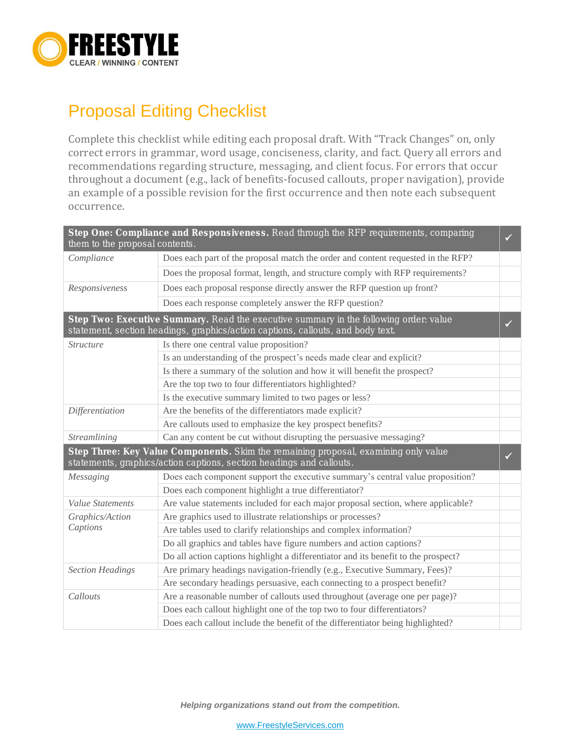

## Proposal Editing Checklist

Complete this checklist while editing each proposal draft. With "Track Changes" on, only correct errors in grammar, word usage, conciseness, clarity, and fact. Query all errors and recommendations regarding structure, messaging, and client focus. For errors that occur throughout a document (e.g., lack of benefits-focused callouts, proper navigation), provide an example of a possible revision for the first occurrence and then note each subsequent occurrence.

| them to the proposal contents.                                                                                                                                                           | Step One: Compliance and Responsiveness. Read through the RFP requirements, comparing | ✓ |
|------------------------------------------------------------------------------------------------------------------------------------------------------------------------------------------|---------------------------------------------------------------------------------------|---|
| Compliance                                                                                                                                                                               | Does each part of the proposal match the order and content requested in the RFP?      |   |
|                                                                                                                                                                                          | Does the proposal format, length, and structure comply with RFP requirements?         |   |
| Responsiveness                                                                                                                                                                           | Does each proposal response directly answer the RFP question up front?                |   |
|                                                                                                                                                                                          | Does each response completely answer the RFP question?                                |   |
| Step Two: Executive Summary. Read the executive summary in the following order: value<br>$\checkmark$<br>statement, section headings, graphics/action captions, callouts, and body text. |                                                                                       |   |
| <b>Structure</b>                                                                                                                                                                         | Is there one central value proposition?                                               |   |
|                                                                                                                                                                                          | Is an understanding of the prospect's needs made clear and explicit?                  |   |
|                                                                                                                                                                                          | Is there a summary of the solution and how it will benefit the prospect?              |   |
|                                                                                                                                                                                          | Are the top two to four differentiators highlighted?                                  |   |
|                                                                                                                                                                                          | Is the executive summary limited to two pages or less?                                |   |
| Differentiation                                                                                                                                                                          | Are the benefits of the differentiators made explicit?                                |   |
|                                                                                                                                                                                          | Are callouts used to emphasize the key prospect benefits?                             |   |
| Streamlining                                                                                                                                                                             | Can any content be cut without disrupting the persuasive messaging?                   |   |
| Step Three: Key Value Components. Skim the remaining proposal, examining only value<br>statements, graphics/action captions, section headings and callouts.                              |                                                                                       |   |
| Messaging                                                                                                                                                                                | Does each component support the executive summary's central value proposition?        |   |
|                                                                                                                                                                                          | Does each component highlight a true differentiator?                                  |   |
| <b>Value Statements</b>                                                                                                                                                                  | Are value statements included for each major proposal section, where applicable?      |   |
| Graphics/Action<br>Captions                                                                                                                                                              | Are graphics used to illustrate relationships or processes?                           |   |
|                                                                                                                                                                                          | Are tables used to clarify relationships and complex information?                     |   |
|                                                                                                                                                                                          | Do all graphics and tables have figure numbers and action captions?                   |   |
|                                                                                                                                                                                          | Do all action captions highlight a differentiator and its benefit to the prospect?    |   |
| <b>Section Headings</b>                                                                                                                                                                  | Are primary headings navigation-friendly (e.g., Executive Summary, Fees)?             |   |
|                                                                                                                                                                                          | Are secondary headings persuasive, each connecting to a prospect benefit?             |   |
| Callouts                                                                                                                                                                                 | Are a reasonable number of callouts used throughout (average one per page)?           |   |
|                                                                                                                                                                                          | Does each callout highlight one of the top two to four differentiators?               |   |
|                                                                                                                                                                                          | Does each callout include the benefit of the differentiator being highlighted?        |   |

*Helping organizations stand out from the competition.*